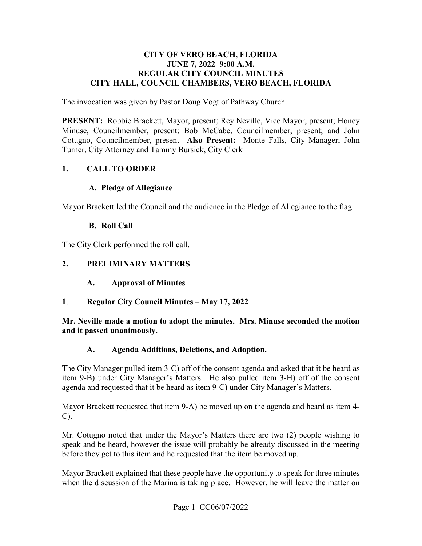#### **CITY OF VERO BEACH, FLORIDA JUNE 7, 2022 9:00 A.M. REGULAR CITY COUNCIL MINUTES CITY HALL, COUNCIL CHAMBERS, VERO BEACH, FLORIDA**

The invocation was given by Pastor Doug Vogt of Pathway Church.

 **PRESENT:** Robbie Brackett, Mayor, present; Rey Neville, Vice Mayor, present; Honey Cotugno, Councilmember, present **Also Present:** Monte Falls, City Manager; John Turner, City Attorney and Tammy Bursick, City Clerk Minuse, Councilmember, present; Bob McCabe, Councilmember, present; and John

#### **1. CALL TO ORDER**

#### **A. Pledge of Allegiance**

Mayor Brackett led the Council and the audience in the Pledge of Allegiance to the flag.

#### **B. Roll Call**

The City Clerk performed the roll call.

#### **2. PRELIMINARY MATTERS**

- $\mathbf{A}$ . **A. Approval of Minutes**
- **Regular City Council Minutes May 17, 2022**

**1. Regular City Council Minutes – May 17, 2022**<br>Mr. Neville made a motion to adopt the minutes. Mrs. Minuse seconded the motion **and it passed unanimously.** 

#### **A. Agenda Additions, Deletions, and Adoption.**

 item 9-B) under City Manager's Matters. He also pulled item 3-H) off of the consent The City Manager pulled item 3-C) off of the consent agenda and asked that it be heard as agenda and requested that it be heard as item 9-C) under City Manager's Matters.

Mayor Brackett requested that item 9-A) be moved up on the agenda and heard as item 4- C).

 Mr. Cotugno noted that under the Mayor's Matters there are two (2) people wishing to speak and be heard, however the issue will probably be already discussed in the meeting before they get to this item and he requested that the item be moved up.

Mayor Brackett explained that these people have the opportunity to speak for three minutes when the discussion of the Marina is taking place. However, he will leave the matter on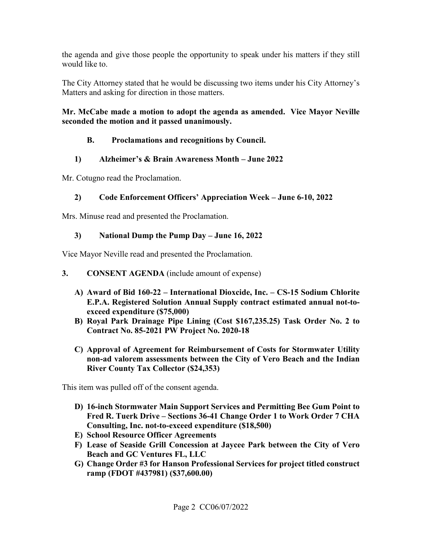the agenda and give those people the opportunity to speak under his matters if they still would like to.

 Matters and asking for direction in those matters. The City Attorney stated that he would be discussing two items under his City Attorney's

### **Mr. McCabe made a motion to adopt the agenda as amended. Vice Mayor Neville seconded the motion and it passed unanimously.**

# **B. Proclamations and recognitions by Council.**

# **1) Alzheimer's & Brain Awareness Month – June 2022**

Mr. Cotugno read the Proclamation.

# **2) Code Enforcement Officers' Appreciation Week – June 6-10, 2022**

Mrs. Minuse read and presented the Proclamation.

# **3) National Dump the Pump Day – June 16, 2022**

Vice Mayor Neville read and presented the Proclamation.

- **3. CONSENT AGENDA** (include amount of expense)
	- **A) Award of Bid 160-22 International Dioxcide, Inc. CS-15 Sodium Chlorite E.P.A. Registered Solution Annual Supply contract estimated annual not-toexceed expenditure (\$75,000)**
	- **B) Royal Park Drainage Pipe Lining (Cost [\\$167,235.25](https://167,235.25)) Task Order No. 2 to Contract No. 85-2021 PW Project No. 2020-18**
	- **C) Approval of Agreement for Reimbursement of Costs for Stormwater Utility non-ad valorem assessments between the City of Vero Beach and the Indian River County Tax Collector (\$24,353)**

This item was pulled off of the consent agenda.

- **D) 16-inch Stormwater Main Support Services and Permitting Bee Gum Point to Fred R. Tuerk Drive – Sections 36-41 Change Order 1 to Work Order 7 CHA Consulting, Inc. not-to-exceed expenditure (\$18,500)**
- **E) School Resource Officer Agreements**
- **F) Lease of Seaside Grill Concession at Jaycee Park between the City of Vero Beach and GC Ventures FL, LLC**
- **G) Change Order #3 for Hanson Professional Services for project titled construct ramp (FDOT #437981) ([\\$37,600.00](https://37,600.00))**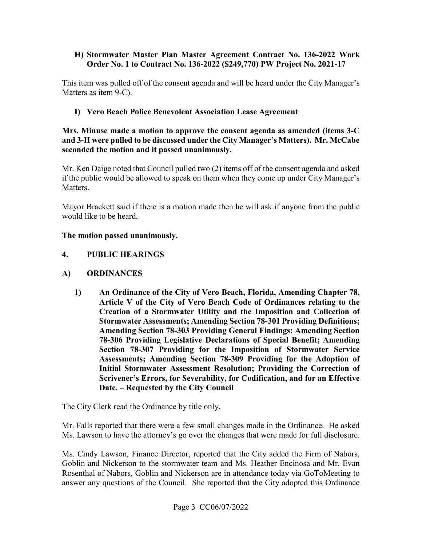#### **H) Stormwater Master Plan Master Agreement Contract No. 136-2022 Work Order No. 1 to Contract No. 136-2022 (\$249,770) PW Project No. 2021-17**

This item was pulled off of the consent agenda and will be heard under the City Manager's Matters as item 9-C).

# **I) Vero Beach Police Benevolent Association Lease Agreement**

 **and 3-H were pulled to be discussed under the City Manager's Matters). Mr. McCabe Mrs. Minuse made a motion to approve the consent agenda as amended (items 3-C seconded the motion and it passed unanimously.** 

 Mr. Ken Daige noted that Council pulled two (2) items off of the consent agenda and asked Matters. if the public would be allowed to speak on them when they come up under City Manager's

Mayor Brackett said if there is a motion made then he will ask if anyone from the public would like to be heard.

# **The motion passed unanimously.**

# **4. PUBLIC HEARINGS**

# **A) ORDINANCES**

**1) An Ordinance of the City of Vero Beach, Florida, Amending Chapter 78, Article V of the City of Vero Beach Code of Ordinances relating to the Creation of a Stormwater Utility and the Imposition and Collection of Stormwater Assessments; Amending Section 78-301 Providing Definitions; Amending Section 78-303 Providing General Findings; Amending Section 78-306 Providing Legislative Declarations of Special Benefit; Amending Section 78-307 Providing for the Imposition of Stormwater Service Assessments; Amending Section 78-309 Providing for the Adoption of Initial Stormwater Assessment Resolution; Providing the Correction of Scrivener's Errors, for Severability, for Codification, and for an Effective Date. – Requested by the City Council** 

The City Clerk read the Ordinance by title only.

 Ms. Lawson to have the attorney's go over the changes that were made for full disclosure. Mr. Falls reported that there were a few small changes made in the Ordinance. He asked

Ms. Cindy Lawson, Finance Director, reported that the City added the Firm of Nabors, Goblin and Nickerson to the stormwater team and Ms. Heather Encinosa and Mr. Evan Rosenthal of Nabors, Goblin and Nickerson are in attendance today via GoToMeeting to answer any questions of the Council. She reported that the City adopted this Ordinance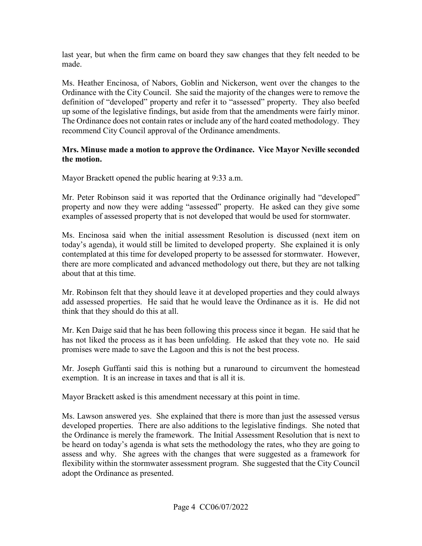made. last year, but when the firm came on board they saw changes that they felt needed to be

up some of the legislative findings, but aside from that the amendments were fairly minor. Ms. Heather Encinosa, of Nabors, Goblin and Nickerson, went over the changes to the Ordinance with the City Council. She said the majority of the changes were to remove the definition of "developed" property and refer it to "assessed" property. They also beefed The Ordinance does not contain rates or include any of the hard coated methodology. They recommend City Council approval of the Ordinance amendments.

#### **Mrs. Minuse made a motion to approve the Ordinance. Vice Mayor Neville seconded the motion.**

Mayor Brackett opened the public hearing at 9:33 a.m.

 property and now they were adding "assessed" property. He asked can they give some examples of assessed property that is not developed that would be used for stormwater. Mr. Peter Robinson said it was reported that the Ordinance originally had "developed"

Ms. Encinosa said when the initial assessment Resolution is discussed (next item on today's agenda), it would still be limited to developed property. She explained it is only contemplated at this time for developed property to be assessed for stormwater. However, there are more complicated and advanced methodology out there, but they are not talking about that at this time.

Mr. Robinson felt that they should leave it at developed properties and they could always add assessed properties. He said that he would leave the Ordinance as it is. He did not think that they should do this at all.

 Mr. Ken Daige said that he has been following this process since it began. He said that he has not liked the process as it has been unfolding. He asked that they vote no. He said promises were made to save the Lagoon and this is not the best process.

exemption. It is an increase in taxes and that is all it is. Mr. Joseph Guffanti said this is nothing but a runaround to circumvent the homestead

Mayor Brackett asked is this amendment necessary at this point in time.

exemption. It is an increase in taxes and that is all it is.<br>Mayor Brackett asked is this amendment necessary at this point in time.<br>Ms. Lawson answered yes. She explained that there is more than just the assessed versus be heard on today's agenda is what sets the methodology the rates, who they are going to developed properties. There are also additions to the legislative findings. She noted that the Ordinance is merely the framework. The Initial Assessment Resolution that is next to assess and why. She agrees with the changes that were suggested as a framework for flexibility within the stormwater assessment program. She suggested that the City Council adopt the Ordinance as presented.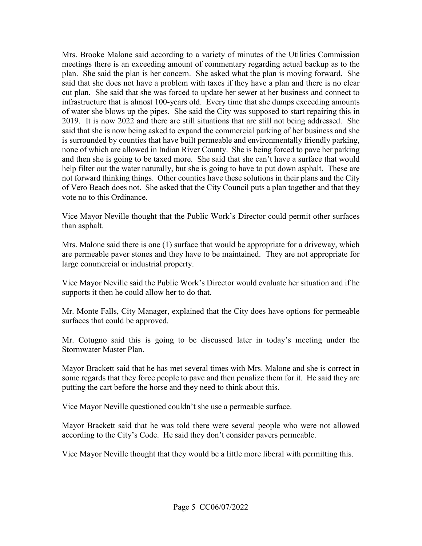meetings there is an exceeding amount of commentary regarding actual backup as to the of water she blows up the pipes. She said the City was supposed to start repairing this in and then she is going to be taxed more. She said that she can't have a surface that would Mrs. Brooke Malone said according to a variety of minutes of the Utilities Commission plan. She said the plan is her concern. She asked what the plan is moving forward. She said that she does not have a problem with taxes if they have a plan and there is no clear cut plan. She said that she was forced to update her sewer at her business and connect to infrastructure that is almost 100-years old. Every time that she dumps exceeding amounts 2019. It is now 2022 and there are still situations that are still not being addressed. She said that she is now being asked to expand the commercial parking of her business and she is surrounded by counties that have built permeable and environmentally friendly parking, none of which are allowed in Indian River County. She is being forced to pave her parking help filter out the water naturally, but she is going to have to put down asphalt. These are not forward thinking things. Other counties have these solutions in their plans and the City of Vero Beach does not. She asked that the City Council puts a plan together and that they vote no to this Ordinance.

 Vice Mayor Neville thought that the Public Work's Director could permit other surfaces than asphalt.

 Mrs. Malone said there is one (1) surface that would be appropriate for a driveway, which large commercial or industrial property. are permeable paver stones and they have to be maintained. They are not appropriate for

Vice Mayor Neville said the Public Work's Director would evaluate her situation and if he supports it then he could allow her to do that.

 surfaces that could be approved. Mr. Monte Falls, City Manager, explained that the City does have options for permeable

Mr. Cotugno said this is going to be discussed later in today's meeting under the Stormwater Master Plan.

Mayor Brackett said that he has met several times with Mrs. Malone and she is correct in some regards that they force people to pave and then penalize them for it. He said they are putting the cart before the horse and they need to think about this.

Vice Mayor Neville questioned couldn't she use a permeable surface.

Mayor Brackett said that he was told there were several people who were not allowed according to the City's Code. He said they don't consider pavers permeable.

Vice Mayor Neville thought that they would be a little more liberal with permitting this.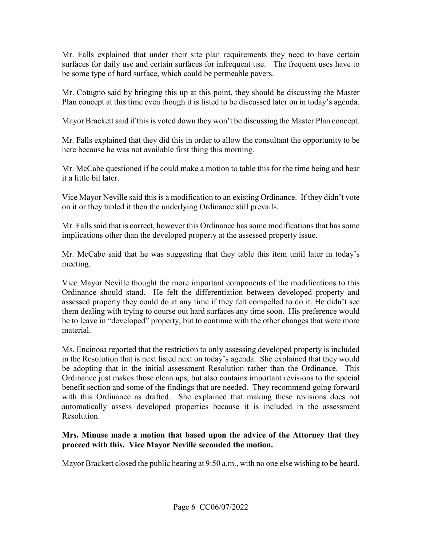surfaces for daily use and certain surfaces for infrequent use. The frequent uses have to Mr. Falls explained that under their site plan requirements they need to have certain be some type of hard surface, which could be permeable pavers.

 Plan concept at this time even though it is listed to be discussed later on in today's agenda. Mr. Cotugno said by bringing this up at this point, they should be discussing the Master

Mayor Brackett said if this is voted down they won't be discussing the Master Plan concept.

Mr. Falls explained that they did this in order to allow the consultant the opportunity to be here because he was not available first thing this morning.

it a little bit later. Mr. McCabe questioned if he could make a motion to table this for the time being and hear

it a little bit later.<br>Vice Mayor Neville said this is a modification to an existing Ordinance. If they didn't vote on it or they tabled it then the underlying Ordinance still prevails.

 Mr. Falls said that is correct, however this Ordinance has some modifications that has some implications other than the developed property at the assessed property issue.

Mr. McCabe said that he was suggesting that they table this item until later in today's meeting.

 Ordinance should stand. He felt the differentiation between developed property and material. Vice Mayor Neville thought the more important components of the modifications to this assessed property they could do at any time if they felt compelled to do it. He didn't see them dealing with trying to course out hard surfaces any time soon. His preference would be to leave in "developed" property, but to continue with the other changes that were more

Ms. Encinosa reported that the restriction to only assessing developed property is included in the Resolution that is next listed next on today's agenda. She explained that they would be adopting that in the initial assessment Resolution rather than the Ordinance. This Ordinance just makes those clean ups, but also contains important revisions to the special benefit section and some of the findings that are needed. They recommend going forward with this Ordinance as drafted. She explained that making these revisions does not automatically assess developed properties because it is included in the assessment Resolution.

#### **Mrs. Minuse made a motion that based upon the advice of the Attorney that they proceed with this. Vice Mayor Neville seconded the motion.**

Mayor Brackett closed the public hearing at 9:50 a.m., with no one else wishing to be heard.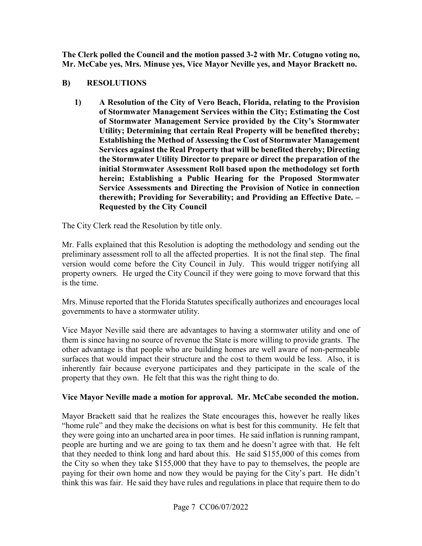**Mr. McCabe yes, Mrs. Minuse yes, Vice Mayor Neville yes, and Mayor Brackett no. The Clerk polled the Council and the motion passed 3-2 with Mr. Cotugno voting no,** 

#### **B) RESOLUTIONS**

**1) A Resolution of the City of Vero Beach, Florida, relating to the Provision of Stormwater Management Services within the City; Estimating the Cost of Stormwater Management Service provided by the City's Stormwater Utility; Determining that certain Real Property will be benefited thereby; Establishing the Method of Assessing the Cost of Stormwater Management Services against the Real Property that will be benefited thereby; Directing the Stormwater Utility Director to prepare or direct the preparation of the initial Stormwater Assessment Roll based upon the methodology set forth herein; Establishing a Public Hearing for the Proposed Stormwater Service Assessments and Directing the Provision of Notice in connection therewith; Providing for Severability; and Providing an Effective Date. – Requested by the City Council** 

The City Clerk read the Resolution by title only.

 property owners. He urged the City Council if they were going to move forward that this is the time. Mr. Falls explained that this Resolution is adopting the methodology and sending out the preliminary assessment roll to all the affected properties. It is not the final step. The final version would come before the City Council in July. This would trigger notifying all

Mrs. Minuse reported that the Florida Statutes specifically authorizes and encourages local governments to have a stormwater utility.

Vice Mayor Neville said there are advantages to having a stormwater utility and one of them is since having no source of revenue the State is more willing to provide grants. The other advantage is that people who are building homes are well aware of non-permeable surfaces that would impact their structure and the cost to them would be less. Also, it is inherently fair because everyone participates and they participate in the scale of the property that they own. He felt that this was the right thing to do.

#### **Vice Mayor Neville made a motion for approval. Mr. McCabe seconded the motion.**

 Mayor Brackett said that he realizes the State encourages this, however he really likes "home rule" and they make the decisions on what is best for this community. He felt that they were going into an uncharted area in poor times. He said inflation is running rampant, people are hurting and we are going to tax them and he doesn't agree with that. He felt that they needed to think long and hard about this. He said \$155,000 of this comes from the City so when they take \$155,000 that they have to pay to themselves, the people are paying for their own home and now they would be paying for the City's part. He didn't think this was fair. He said they have rules and regulations in place that require them to do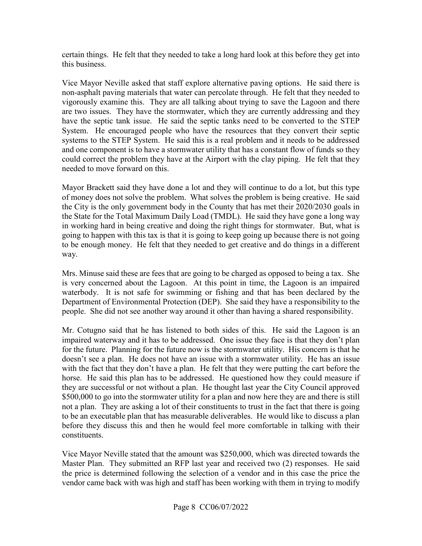certain things. He felt that they needed to take a long hard look at this before they get into this business.

 Vice Mayor Neville asked that staff explore alternative paving options. He said there is could correct the problem they have at the Airport with the clay piping. He felt that they non-asphalt paving materials that water can percolate through. He felt that they needed to vigorously examine this. They are all talking about trying to save the Lagoon and there are two issues. They have the stormwater, which they are currently addressing and they have the septic tank issue. He said the septic tanks need to be converted to the STEP System. He encouraged people who have the resources that they convert their septic systems to the STEP System. He said this is a real problem and it needs to be addressed and one component is to have a stormwater utility that has a constant flow of funds so they needed to move forward on this.

 to be enough money. He felt that they needed to get creative and do things in a different way. Mayor Brackett said they have done a lot and they will continue to do a lot, but this type of money does not solve the problem. What solves the problem is being creative. He said the City is the only government body in the County that has met their 2020/2030 goals in the State for the Total Maximum Daily Load (TMDL). He said they have gone a long way in working hard in being creative and doing the right things for stormwater. But, what is going to happen with this tax is that it is going to keep going up because there is not going

 waterbody. It is not safe for swimming or fishing and that has been declared by the Mrs. Minuse said these are fees that are going to be charged as opposed to being a tax. She is very concerned about the Lagoon. At this point in time, the Lagoon is an impaired Department of Environmental Protection (DEP). She said they have a responsibility to the people. She did not see another way around it other than having a shared responsibility.

 Mr. Cotugno said that he has listened to both sides of this. He said the Lagoon is an not a plan. They are asking a lot of their constituents to trust in the fact that there is going impaired waterway and it has to be addressed. One issue they face is that they don't plan for the future. Planning for the future now is the stormwater utility. His concern is that he doesn't see a plan. He does not have an issue with a stormwater utility. He has an issue with the fact that they don't have a plan. He felt that they were putting the cart before the horse. He said this plan has to be addressed. He questioned how they could measure if they are successful or not without a plan. He thought last year the City Council approved \$500,000 to go into the stormwater utility for a plan and now here they are and there is still to be an executable plan that has measurable deliverables. He would like to discuss a plan before they discuss this and then he would feel more comfortable in talking with their constituents.

 Master Plan. They submitted an RFP last year and received two (2) responses. He said Vice Mayor Neville stated that the amount was \$250,000, which was directed towards the the price is determined following the selection of a vendor and in this case the price the vendor came back with was high and staff has been working with them in trying to modify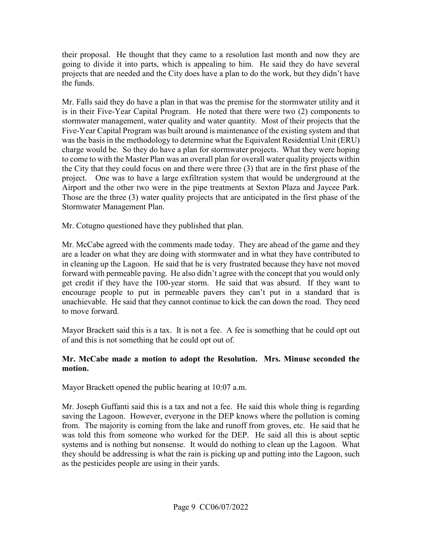their proposal. He thought that they came to a resolution last month and now they are going to divide it into parts, which is appealing to him. He said they do have several projects that are needed and the City does have a plan to do the work, but they didn't have the funds.

 Mr. Falls said they do have a plan in that was the premise for the stormwater utility and it is in their Five-Year Capital Program. He noted that there were two (2) components to Five-Year Capital Program was built around is maintenance of the existing system and that charge would be. So they do have a plan for stormwater projects. What they were hoping Airport and the other two were in the pipe treatments at Sexton Plaza and Jaycee Park. Airport and the other two were in the pipe treatments at Sexton Plaza and Jaycee Park. Those are the three (3) water quality projects that are anticipated in the first phase of the stormwater management, water quality and water quantity. Most of their projects that the was the basis in the methodology to determine what the Equivalent Residential Unit (ERU) to come to with the Master Plan was an overall plan for overall water quality projects within the City that they could focus on and there were three (3) that are in the first phase of the project. One was to have a large exfiltration system that would be underground at the Stormwater Management Plan.

Mr. Cotugno questioned have they published that plan.

 Mr. McCabe agreed with the comments made today. They are ahead of the game and they forward with permeable paving. He also didn't agree with the concept that you would only get credit if they have the 100-year storm. He said that was absurd. If they want to encourage people to put in permeable pavers they can't put in a standard that is are a leader on what they are doing with stormwater and in what they have contributed to in cleaning up the Lagoon. He said that he is very frustrated because they have not moved unachievable. He said that they cannot continue to kick the can down the road. They need to move forward.

 Mayor Brackett said this is a tax. It is not a fee. A fee is something that he could opt out of and this is not something that he could opt out of.

#### **Mr. McCabe made a motion to adopt the Resolution. Mrs. Minuse seconded the motion.**

Mayor Brackett opened the public hearing at 10:07 a.m.

 from. The majority is coming from the lake and runoff from groves, etc. He said that he was told this from someone who worked for the DEP. He said all this is about septic systems and is nothing but nonsense. It would do nothing to clean up the Lagoon. What as the pesticides people are using in their yards. Mr. Joseph Guffanti said this is a tax and not a fee. He said this whole thing is regarding saving the Lagoon. However, everyone in the DEP knows where the pollution is coming they should be addressing is what the rain is picking up and putting into the Lagoon, such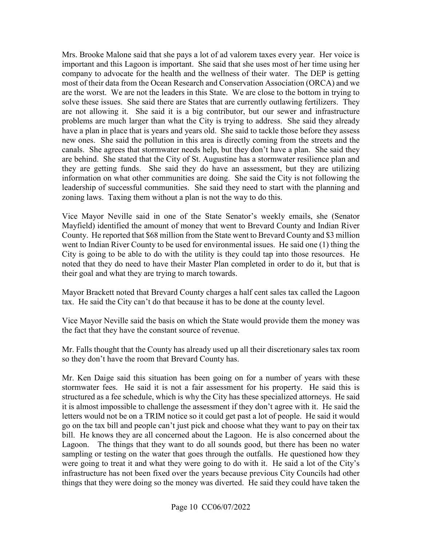Mrs. Brooke Malone said that she pays a lot of ad valorem taxes every year. Her voice is company to advocate for the health and the wellness of their water. The DEP is getting problems are much larger than what the City is trying to address. She said they already have a plan in place that is years and years old. She said to tackle those before they assess new ones. She said the pollution in this area is directly coming from the streets and the they are getting funds. She said they do have an assessment, but they are utilizing important and this Lagoon is important. She said that she uses most of her time using her most of their data from the Ocean Research and Conservation Association (ORCA) and we are the worst. We are not the leaders in this State. We are close to the bottom in trying to solve these issues. She said there are States that are currently outlawing fertilizers. They are not allowing it. She said it is a big contributor, but our sewer and infrastructure canals. She agrees that stormwater needs help, but they don't have a plan. She said they are behind. She stated that the City of St. Augustine has a stormwater resilience plan and information on what other communities are doing. She said the City is not following the leadership of successful communities. She said they need to start with the planning and zoning laws. Taxing them without a plan is not the way to do this.

 City is going to be able to do with the utility is they could tap into those resources. He noted that they do need to have their Master Plan completed in order to do it, but that is Vice Mayor Neville said in one of the State Senator's weekly emails, she (Senator Mayfield) identified the amount of money that went to Brevard County and Indian River County. He reported that \$68 million from the State went to Brevard County and \$3 million went to Indian River County to be used for environmental issues. He said one (1) thing the their goal and what they are trying to march towards.

Mayor Brackett noted that Brevard County charges a half cent sales tax called the Lagoon tax. He said the City can't do that because it has to be done at the county level.

 Vice Mayor Neville said the basis on which the State would provide them the money was the fact that they have the constant source of revenue.

 so they don't have the room that Brevard County has. Mr. Falls thought that the County has already used up all their discretionary sales tax room

 stormwater fees. He said it is not a fair assessment for his property. He said this is it is almost impossible to challenge the assessment if they don't agree with it. He said the go on the tax bill and people can't just pick and choose what they want to pay on their tax Lagoon. The things that they want to do all sounds good, but there has been no water Mr. Ken Daige said this situation has been going on for a number of years with these structured as a fee schedule, which is why the City has these specialized attorneys. He said letters would not be on a TRIM notice so it could get past a lot of people. He said it would bill. He knows they are all concerned about the Lagoon. He is also concerned about the sampling or testing on the water that goes through the outfalls. He questioned how they were going to treat it and what they were going to do with it. He said a lot of the City's infrastructure has not been fixed over the years because previous City Councils had other things that they were doing so the money was diverted. He said they could have taken the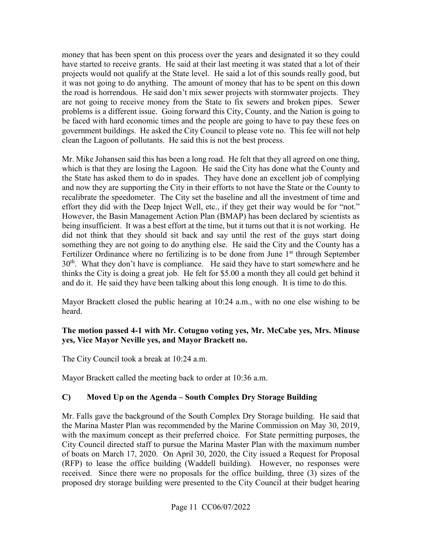money that has been spent on this process over the years and designated it so they could projects would not qualify at the State level. He said a lot of this sounds really good, but have started to receive grants. He said at their last meeting it was stated that a lot of their it was not going to do anything. The amount of money that has to be spent on this down the road is horrendous. He said don't mix sewer projects with stormwater projects. They are not going to receive money from the State to fix sewers and broken pipes. Sewer problems is a different issue. Going forward this City, County, and the Nation is going to be faced with hard economic times and the people are going to have to pay these fees on government buildings. He asked the City Council to please vote no. This fee will not help clean the Lagoon of pollutants. He said this is not the best process.

 which is that they are losing the Lagoon. He said the City has done what the County and recalibrate the speedometer. The City set the baseline and all the investment of time and effort they did with the Deep Inject Well, etc., if they get their way would be for "not." being insufficient. It was a best effort at the time, but it turns out that it is not working. He something they are not going to do anything else. He said the City and the County has a and do it. He said they have been talking about this long enough. It is time to do this. Mr. Mike Johansen said this has been a long road. He felt that they all agreed on one thing, the State has asked them to do in spades. They have done an excellent job of complying and now they are supporting the City in their efforts to not have the State or the County to However, the Basin Management Action Plan (BMAP) has been declared by scientists as did not think that they should sit back and say until the rest of the guys start doing Fertilizer Ordinance where no fertilizing is to be done from June  $1<sup>st</sup>$  through September  $30<sup>th</sup>$ . What they don't have is compliance. He said they have to start somewhere and he thinks the City is doing a great job. He felt for \$5.00 a month they all could get behind it

Mayor Brackett closed the public hearing at 10:24 a.m., with no one else wishing to be heard.

#### **The motion passed 4-1 with Mr. Cotugno voting yes, Mr. McCabe yes, Mrs. Minuse yes, Vice Mayor Neville yes, and Mayor Brackett no.**

The City Council took a break at 10:24 a.m.

Mayor Brackett called the meeting back to order at 10:36 a.m.

# **C) Moved Up on the Agenda – South Complex Dry Storage Building**

 Mr. Falls gave the background of the South Complex Dry Storage building. He said that received. Since there were no proposals for the office building, three (3) sizes of the proposed dry storage building were presented to the City Council at their budget hearing the Marina Master Plan was recommended by the Marine Commission on May 30, 2019, with the maximum concept as their preferred choice. For State permitting purposes, the City Council directed staff to pursue the Marina Master Plan with the maximum number of boats on March 17, 2020. On April 30, 2020, the City issued a Request for Proposal (RFP) to lease the office building (Waddell building). However, no responses were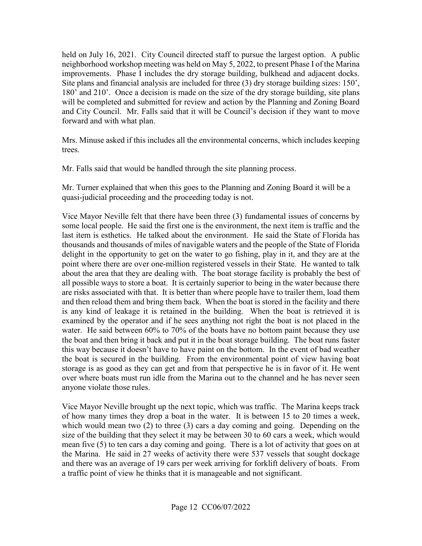held on July 16, 2021. City Council directed staff to pursue the largest option. A public neighborhood workshop meeting was held on May 5, 2022, to present Phase I of the Marina improvements. Phase I includes the dry storage building, bulkhead and adjacent docks. Site plans and financial analysis are included for three (3) dry storage building sizes: 150', 180' and 210'. Once a decision is made on the size of the dry storage building, site plans will be completed and submitted for review and action by the Planning and Zoning Board and City Council. Mr. Falls said that it will be Council's decision if they want to move forward and with what plan.

trees. Mrs. Minuse asked if this includes all the environmental concerns, which includes keeping

Mr. Falls said that would be handled through the site planning process.

 Mr. Turner explained that when this goes to the Planning and Zoning Board it will be a quasi-judicial proceeding and the proceeding today is not.

 some local people. He said the first one is the environment, the next item is traffic and the are risks associated with that. It is better than where people have to trailer them, load them and then reload them and bring them back. When the boat is stored in the facility and there the boat and then bring it back and put it in the boat storage building. The boat runs faster the boat is secured in the building. From the environmental point of view having boat storage is as good as they can get and from that perspective he is in favor of it. He went Vice Mayor Neville felt that there have been three (3) fundamental issues of concerns by last item is esthetics. He talked about the environment. He said the State of Florida has thousands and thousands of miles of navigable waters and the people of the State of Florida delight in the opportunity to get on the water to go fishing, play in it, and they are at the point where there are over one-million registered vessels in their State. He wanted to talk about the area that they are dealing with. The boat storage facility is probably the best of all possible ways to store a boat. It is certainly superior to being in the water because there is any kind of leakage it is retained in the building. When the boat is retrieved it is examined by the operator and if he sees anything not right the boat is not placed in the water. He said between 60% to 70% of the boats have no bottom paint because they use this way because it doesn't have to have paint on the bottom. In the event of bad weather over where boats must run idle from the Marina out to the channel and he has never seen anyone violate those rules.

 which would mean two (2) to three (3) cars a day coming and going. Depending on the mean five (5) to ten cars a day coming and going. There is a lot of activity that goes on at the Marina. He said in 27 weeks of activity there were 537 vessels that sought dockage and there was an average of 19 cars per week arriving for forklift delivery of boats. From Vice Mayor Neville brought up the next topic, which was traffic. The Marina keeps track of how many times they drop a boat in the water. It is between 15 to 20 times a week, size of the building that they select it may be between 30 to 60 cars a week, which would a traffic point of view he thinks that it is manageable and not significant.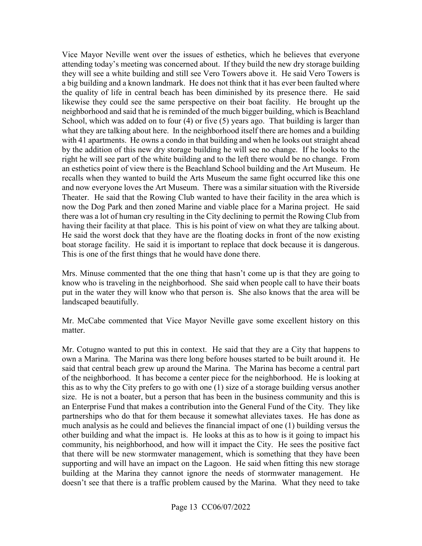a big building and a known landmark. He does not think that it has ever been faulted where with 41 apartments. He owns a condo in that building and when he looks out straight ahead and now everyone loves the Art Museum. There was a similar situation with the Riverside Theater. He said that the Rowing Club wanted to have their facility in the area which is This is one of the first things that he would have done there. Vice Mayor Neville went over the issues of esthetics, which he believes that everyone attending today's meeting was concerned about. If they build the new dry storage building they will see a white building and still see Vero Towers above it. He said Vero Towers is the quality of life in central beach has been diminished by its presence there. He said likewise they could see the same perspective on their boat facility. He brought up the neighborhood and said that he is reminded of the much bigger building, which is Beachland School, which was added on to four (4) or five (5) years ago. That building is larger than what they are talking about here. In the neighborhood itself there are homes and a building by the addition of this new dry storage building he will see no change. If he looks to the right he will see part of the white building and to the left there would be no change. From an esthetics point of view there is the Beachland School building and the Art Museum. He recalls when they wanted to build the Arts Museum the same fight occurred like this one now the Dog Park and then zoned Marine and viable place for a Marina project. He said there was a lot of human cry resulting in the City declining to permit the Rowing Club from having their facility at that place. This is his point of view on what they are talking about. He said the worst dock that they have are the floating docks in front of the now existing boat storage facility. He said it is important to replace that dock because it is dangerous.

 Mrs. Minuse commented that the one thing that hasn't come up is that they are going to know who is traveling in the neighborhood. She said when people call to have their boats put in the water they will know who that person is. She also knows that the area will be landscaped beautifully.

matter. Mr. McCabe commented that Vice Mayor Neville gave some excellent history on this

 of the neighborhood. It has become a center piece for the neighborhood. He is looking at this as to why the City prefers to go with one (1) size of a storage building versus another size. He is not a boater, but a person that has been in the business community and this is much analysis as he could and believes the financial impact of one (1) building versus the that there will be new stormwater management, which is something that they have been Mr. Cotugno wanted to put this in context. He said that they are a City that happens to own a Marina. The Marina was there long before houses started to be built around it. He said that central beach grew up around the Marina. The Marina has become a central part an Enterprise Fund that makes a contribution into the General Fund of the City. They like partnerships who do that for them because it somewhat alleviates taxes. He has done as other building and what the impact is. He looks at this as to how is it going to impact his community, his neighborhood, and how will it impact the City. He sees the positive fact supporting and will have an impact on the Lagoon. He said when fitting this new storage building at the Marina they cannot ignore the needs of stormwater management. He doesn't see that there is a traffic problem caused by the Marina. What they need to take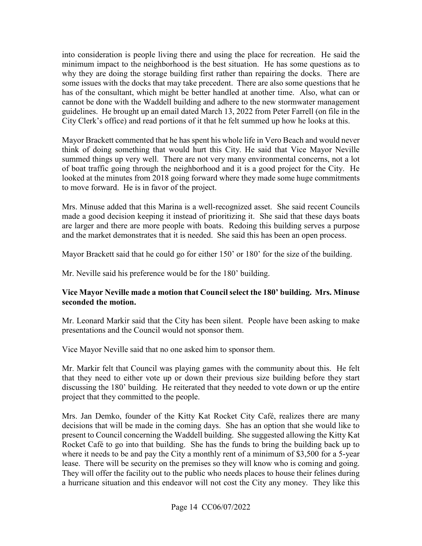has of the consultant, which might be better handled at another time. Also, what can or City Clerk's office) and read portions of it that he felt summed up how he looks at this. into consideration is people living there and using the place for recreation. He said the minimum impact to the neighborhood is the best situation. He has some questions as to why they are doing the storage building first rather than repairing the docks. There are some issues with the docks that may take precedent. There are also some questions that he cannot be done with the Waddell building and adhere to the new stormwater management guidelines. He brought up an email dated March 13, 2022 from Peter Farrell (on file in the

 summed things up very well. There are not very many environmental concerns, not a lot looked at the minutes from 2018 going forward where they made some huge commitments to move forward. He is in favor of the project. Mayor Brackett commented that he has spent his whole life in Vero Beach and would never think of doing something that would hurt this City. He said that Vice Mayor Neville of boat traffic going through the neighborhood and it is a good project for the City. He

 Mrs. Minuse added that this Marina is a well-recognized asset. She said recent Councils are larger and there are more people with boats. Redoing this building serves a purpose made a good decision keeping it instead of prioritizing it. She said that these days boats and the market demonstrates that it is needed. She said this has been an open process.

Mayor Brackett said that he could go for either 150' or 180' for the size of the building.

Mr. Neville said his preference would be for the 180' building.

#### **Vice Mayor Neville made a motion that Council select the 180' building. Mrs. Minuse seconded the motion.**

 Mr. Leonard Markir said that the City has been silent. People have been asking to make presentations and the Council would not sponsor them.

Vice Mayor Neville said that no one asked him to sponsor them.

 Mr. Markir felt that Council was playing games with the community about this. He felt project that they committed to the people. that they need to either vote up or down their previous size building before they start discussing the 180' building. He reiterated that they needed to vote down or up the entire

 Mrs. Jan Demko, founder of the Kitty Kat Rocket City Café, realizes there are many present to Council concerning the Waddell building. She suggested allowing the Kitty Kat where it needs to be and pay the City a monthly rent of a minimum of \$3,500 for a 5-year They will offer the facility out to the public who needs places to house their felines during a hurricane situation and this endeavor will not cost the City any money. They like this decisions that will be made in the coming days. She has an option that she would like to Rocket Café to go into that building. She has the funds to bring the building back up to lease. There will be security on the premises so they will know who is coming and going.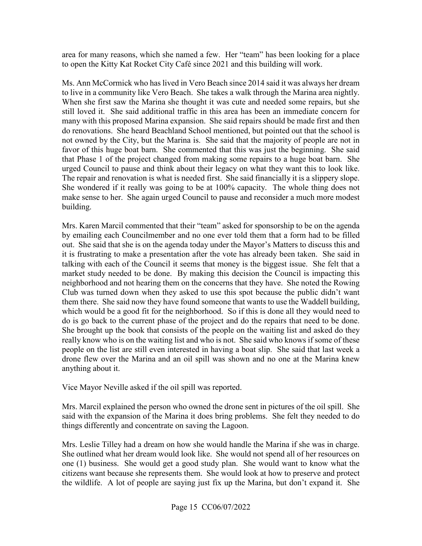area for many reasons, which she named a few. Her "team" has been looking for a place to open the Kitty Kat Rocket City Café since 2021 and this building will work.

 Ms. Ann McCormick who has lived in Vero Beach since 2014 said it was always her dream to live in a community like Vero Beach. She takes a walk through the Marina area nightly. to live in a community like Vero Beach. She takes a walk through the Marina area nightly. When she first saw the Marina she thought it was cute and needed some repairs, but she still loved it. She said additional traffic in this area has been an immediate concern for favor of this huge boat barn. She commented that this was just the beginning. She said urged Council to pause and think about their legacy on what they want this to look like. The repair and renovation is what is needed first. She said financially it is a slippery slope. make sense to her. She again urged Council to pause and reconsider a much more modest many with this proposed Marina expansion. She said repairs should be made first and then do renovations. She heard Beachland School mentioned, but pointed out that the school is not owned by the City, but the Marina is. She said that the majority of people are not in that Phase 1 of the project changed from making some repairs to a huge boat barn. She She wondered if it really was going to be at 100% capacity. The whole thing does not building.

 market study needed to be done. By making this decision the Council is impacting this Club was turned down when they asked to use this spot because the public didn't want them there. She said now they have found someone that wants to use the Waddell building, which would be a good fit for the neighborhood. So if this is done all they would need to people on the list are still even interested in having a boat slip. She said that last week a drone flew over the Marina and an oil spill was shown and no one at the Marina knew Mrs. Karen Marcil commented that their "team" asked for sponsorship to be on the agenda by emailing each Councilmember and no one ever told them that a form had to be filled out. She said that she is on the agenda today under the Mayor's Matters to discuss this and it is frustrating to make a presentation after the vote has already been taken. She said in talking with each of the Council it seems that money is the biggest issue. She felt that a neighborhood and not hearing them on the concerns that they have. She noted the Rowing do is go back to the current phase of the project and do the repairs that need to be done. She brought up the book that consists of the people on the waiting list and asked do they really know who is on the waiting list and who is not. She said who knows if some of these anything about it.

Vice Mayor Neville asked if the oil spill was reported.

 things differently and concentrate on saving the Lagoon. Mrs. Marcil explained the person who owned the drone sent in pictures of the oil spill. She said with the expansion of the Marina it does bring problems. She felt they needed to do

Mrs. Leslie Tilley had a dream on how she would handle the Marina if she was in charge. Mrs. Leslie Tilley had a dream on how she would handle the Marina if she was in charge.<br>She outlined what her dream would look like. She would not spend all of her resources on one (1) business. She would get a good study plan. She would want to know what the citizens want because she represents them. She would look at how to preserve and protect the wildlife. A lot of people are saying just fix up the Marina, but don't expand it. She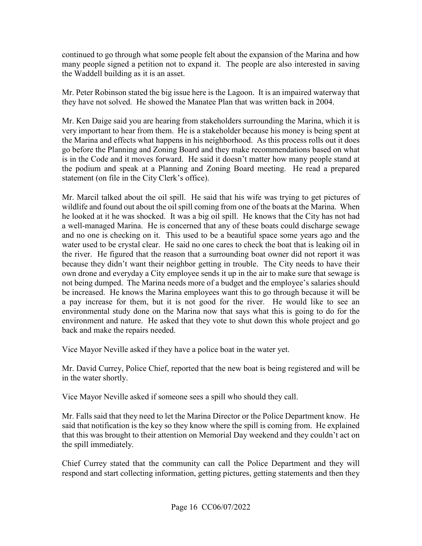continued to go through what some people felt about the expansion of the Marina and how many people signed a petition not to expand it. The people are also interested in saving the Waddell building as it is an asset.

 they have not solved. He showed the Manatee Plan that was written back in 2004. Mr. Peter Robinson stated the big issue here is the Lagoon. It is an impaired waterway that

 Mr. Ken Daige said you are hearing from stakeholders surrounding the Marina, which it is very important to hear from them. He is a stakeholder because his money is being spent at go before the Planning and Zoning Board and they make recommendations based on what is in the Code and it moves forward. He said it doesn't matter how many people stand at the podium and speak at a Planning and Zoning Board meeting. He read a prepared the Marina and effects what happens in his neighborhood. As this process rolls out it does statement (on file in the City Clerk's office).

 Mr. Marcil talked about the oil spill. He said that his wife was trying to get pictures of wildlife and found out about the oil spill coming from one of the boats at the Marina. When he looked at it he was shocked. It was a big oil spill. He knows that the City has not had a well-managed Marina. He is concerned that any of these boats could discharge sewage and no one is checking on it. This used to be a beautiful space some years ago and the water used to be crystal clear. He said no one cares to check the boat that is leaking oil in the river. He figured that the reason that a surrounding boat owner did not report it was not being dumped. The Marina needs more of a budget and the employee's salaries should be increased. He knows the Marina employees want this to go through because it will be a pay increase for them, but it is not good for the river. He would like to see an environment and nature. He asked that they vote to shut down this whole project and go because they didn't want their neighbor getting in trouble. The City needs to have their own drone and everyday a City employee sends it up in the air to make sure that sewage is environmental study done on the Marina now that says what this is going to do for the back and make the repairs needed.

Vice Mayor Neville asked if they have a police boat in the water yet.

 in the water shortly. Mr. David Currey, Police Chief, reported that the new boat is being registered and will be

Vice Mayor Neville asked if someone sees a spill who should they call.

 said that notification is the key so they know where the spill is coming from. He explained Mr. Falls said that they need to let the Marina Director or the Police Department know. He that this was brought to their attention on Memorial Day weekend and they couldn't act on the spill immediately.

 Chief Currey stated that the community can call the Police Department and they will respond and start collecting information, getting pictures, getting statements and then they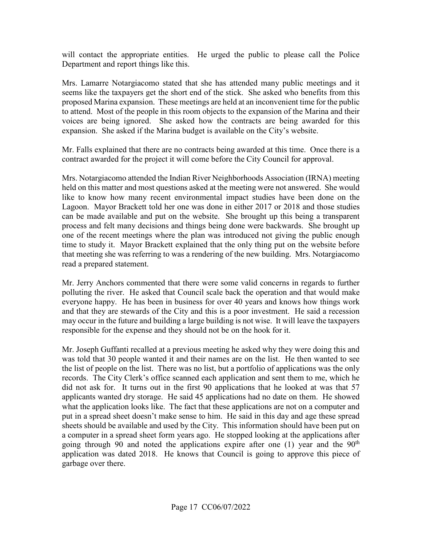will contact the appropriate entities. He urged the public to please call the Police Department and report things like this.

 Mrs. Lamarre Notargiacomo stated that she has attended many public meetings and it to attend. Most of the people in this room objects to the expansion of the Marina and their voices are being ignored. She asked how the contracts are being awarded for this expansion. She asked if the Marina budget is available on the City's website. seems like the taxpayers get the short end of the stick. She asked who benefits from this proposed Marina expansion. These meetings are held at an inconvenient time for the public

expansion. She asked if the Marina budget is available on the City's website.<br>Mr. Falls explained that there are no contracts being awarded at this time. Once there is a contract awarded for the project it will come before the City Council for approval.

 held on this matter and most questions asked at the meeting were not answered. She would Lagoon. Mayor Brackett told her one was done in either 2017 or 2018 and those studies can be made available and put on the website. She brought up this being a transparent Mrs. Notargiacomo attended the Indian River Neighborhoods Association (IRNA) meeting like to know how many recent environmental impact studies have been done on the process and felt many decisions and things being done were backwards. She brought up one of the recent meetings where the plan was introduced not giving the public enough time to study it. Mayor Brackett explained that the only thing put on the website before that meeting she was referring to was a rendering of the new building. Mrs. Notargiacomo read a prepared statement.

 may occur in the future and building a large building is not wise. It will leave the taxpayers responsible for the expense and they should not be on the hook for it. Mr. Jerry Anchors commented that there were some valid concerns in regards to further polluting the river. He asked that Council scale back the operation and that would make everyone happy. He has been in business for over 40 years and knows how things work and that they are stewards of the City and this is a poor investment. He said a recession

 Mr. Joseph Guffanti recalled at a previous meeting he asked why they were doing this and did not ask for. It turns out in the first 90 applications that he looked at was that 57 applicants wanted dry storage. He said 45 applications had no date on them. He showed what the application looks like. The fact that these applications are not on a computer and put in a spread sheet doesn't make sense to him. He said in this day and age these spread sheets should be available and used by the City. This information should have been put on a computer in a spread sheet form years ago. He stopped looking at the applications after application was dated 2018. He knows that Council is going to approve this piece of was told that 30 people wanted it and their names are on the list. He then wanted to see the list of people on the list. There was no list, but a portfolio of applications was the only records. The City Clerk's office scanned each application and sent them to me, which he going through 90 and noted the applications expire after one  $(1)$  year and the  $90<sup>th</sup>$ garbage over there.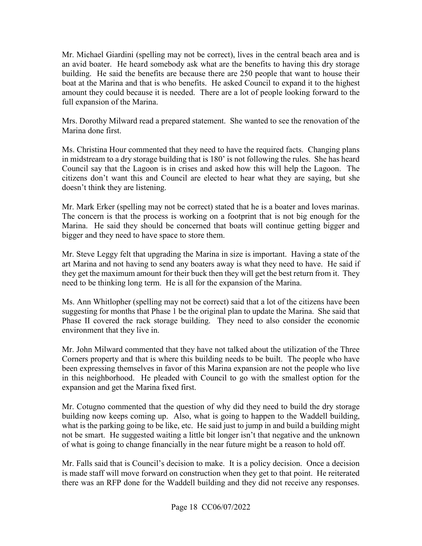Mr. Michael Giardini (spelling may not be correct), lives in the central beach area and is an avid boater. He heard somebody ask what are the benefits to having this dry storage amount they could because it is needed. There are a lot of people looking forward to the full expansion of the Marina. building. He said the benefits are because there are 250 people that want to house their boat at the Marina and that is who benefits. He asked Council to expand it to the highest

 Mrs. Dorothy Milward read a prepared statement. She wanted to see the renovation of the Marina done first.

Ms. Christina Hour commented that they need to have the required facts. Changing plans in midstream to a dry storage building that is 180' is not following the rules. She has heard Council say that the Lagoon is in crises and asked how this will help the Lagoon. The citizens don't want this and Council are elected to hear what they are saying, but she doesn't think they are listening.

Mr. Mark Erker (spelling may not be correct) stated that he is a boater and loves marinas. Mr. Mark Erker (spelling may not be correct) stated that he is a boater and loves marinas. The concern is that the process is working on a footprint that is not big enough for the Marina. He said they should be concerned that boats will continue getting bigger and bigger and they need to have space to store them.

 Mr. Steve Leggy felt that upgrading the Marina in size is important. Having a state of the they get the maximum amount for their buck then they will get the best return from it. They need to be thinking long term. He is all for the expansion of the Marina. art Marina and not having to send any boaters away is what they need to have. He said if

environment that they live in. Ms. Ann Whitlopher (spelling may not be correct) said that a lot of the citizens have been suggesting for months that Phase 1 be the original plan to update the Marina. She said that Phase II covered the rack storage building. They need to also consider the economic

 Corners property and that is where this building needs to be built. The people who have Mr. John Milward commented that they have not talked about the utilization of the Three been expressing themselves in favor of this Marina expansion are not the people who live in this neighborhood. He pleaded with Council to go with the smallest option for the expansion and get the Marina fixed first.

 of what is going to change financially in the near future might be a reason to hold off. Mr. Cotugno commented that the question of why did they need to build the dry storage building now keeps coming up. Also, what is going to happen to the Waddell building, what is the parking going to be like, etc. He said just to jump in and build a building might not be smart. He suggested waiting a little bit longer isn't that negative and the unknown

 Mr. Falls said that is Council's decision to make. It is a policy decision. Once a decision there was an RFP done for the Waddell building and they did not receive any responses. is made staff will move forward on construction when they get to that point. He reiterated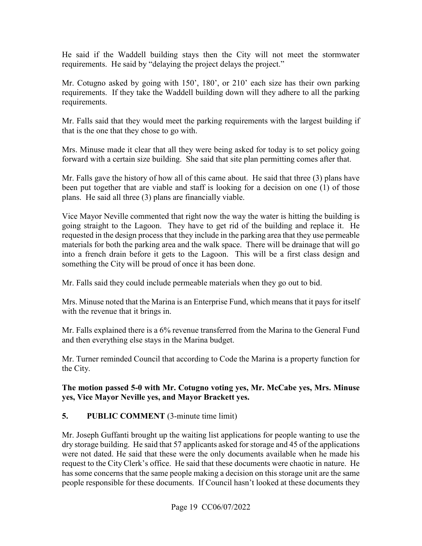He said if the Waddell building stays then the City will not meet the stormwater requirements. He said by "delaying the project delays the project."

 Mr. Cotugno asked by going with 150', 180', or 210' each size has their own parking requirements. If they take the Waddell building down will they adhere to all the parking requirements.

Mr. Falls said that they would meet the parking requirements with the largest building if that is the one that they chose to go with.

 Mrs. Minuse made it clear that all they were being asked for today is to set policy going forward with a certain size building. She said that site plan permitting comes after that.

 Mr. Falls gave the history of how all of this came about. He said that three (3) plans have been put together that are viable and staff is looking for a decision on one (1) of those plans. He said all three (3) plans are financially viable.

Vice Mayor Neville commented that right now the way the water is hitting the building is Vice Mayor Neville commented that right now the way the water is hitting the building is going straight to the Lagoon. They have to get rid of the building and replace it. He into a french drain before it gets to the Lagoon. This will be a first class design and requested in the design process that they include in the parking area that they use permeable materials for both the parking area and the walk space. There will be drainage that will go something the City will be proud of once it has been done.

Mr. Falls said they could include permeable materials when they go out to bid.

Mrs. Minuse noted that the Marina is an Enterprise Fund, which means that it pays for itself with the revenue that it brings in.

 and then everything else stays in the Marina budget. Mr. Falls explained there is a 6% revenue transferred from the Marina to the General Fund

 Mr. Turner reminded Council that according to Code the Marina is a property function for the City.

**The motion passed 5-0 with Mr. Cotugno voting yes, Mr. McCabe yes, Mrs. Minuse** 

# **yes, Vice Mayor Neville yes, and Mayor Brackett yes. 5. PUBLIC COMMENT** (3-minute time limit)

 dry storage building. He said that 57 applicants asked for storage and 45 of the applications Mr. Joseph Guffanti brought up the waiting list applications for people wanting to use the were not dated. He said that these were the only documents available when he made his request to the City Clerk's office. He said that these documents were chaotic in nature. He has some concerns that the same people making a decision on this storage unit are the same people responsible for these documents. If Council hasn't looked at these documents they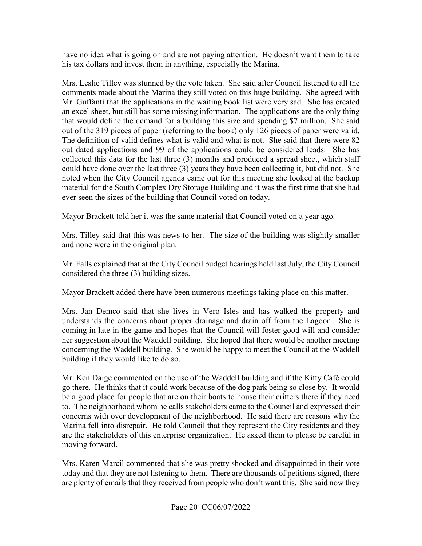have no idea what is going on and are not paying attention. He doesn't want them to take his tax dollars and invest them in anything, especially the Marina.

 an excel sheet, but still has some missing information. The applications are the only thing out of the 319 pieces of paper (referring to the book) only 126 pieces of paper were valid. out dated applications and 99 of the applications could be considered leads. She has could have done over the last three (3) years they have been collecting it, but did not. She Mrs. Leslie Tilley was stunned by the vote taken. She said after Council listened to all the comments made about the Marina they still voted on this huge building. She agreed with Mr. Guffanti that the applications in the waiting book list were very sad. She has created that would define the demand for a building this size and spending \$7 million. She said The definition of valid defines what is valid and what is not. She said that there were 82 collected this data for the last three (3) months and produced a spread sheet, which staff noted when the City Council agenda came out for this meeting she looked at the backup material for the South Complex Dry Storage Building and it was the first time that she had ever seen the sizes of the building that Council voted on today.

Mayor Brackett told her it was the same material that Council voted on a year ago.

Mrs. Tilley said that this was news to her. The size of the building was slightly smaller and none were in the original plan.

Mr. Falls explained that at the City Council budget hearings held last July, the City Council considered the three (3) building sizes.

Mayor Brackett added there have been numerous meetings taking place on this matter.

 Mrs. Jan Demco said that she lives in Vero Isles and has walked the property and understands the concerns about proper drainage and drain off from the Lagoon. She is building if they would like to do so. coming in late in the game and hopes that the Council will foster good will and consider her suggestion about the Waddell building. She hoped that there would be another meeting concerning the Waddell building. She would be happy to meet the Council at the Waddell

 be a good place for people that are on their boats to house their critters there if they need Marina fell into disrepair. He told Council that they represent the City residents and they Mr. Ken Daige commented on the use of the Waddell building and if the Kitty Café could go there. He thinks that it could work because of the dog park being so close by. It would to. The neighborhood whom he calls stakeholders came to the Council and expressed their concerns with over development of the neighborhood. He said there are reasons why the are the stakeholders of this enterprise organization. He asked them to please be careful in moving forward.

 Mrs. Karen Marcil commented that she was pretty shocked and disappointed in their vote today and that they are not listening to them. There are thousands of petitions signed, there are plenty of emails that they received from people who don't want this. She said now they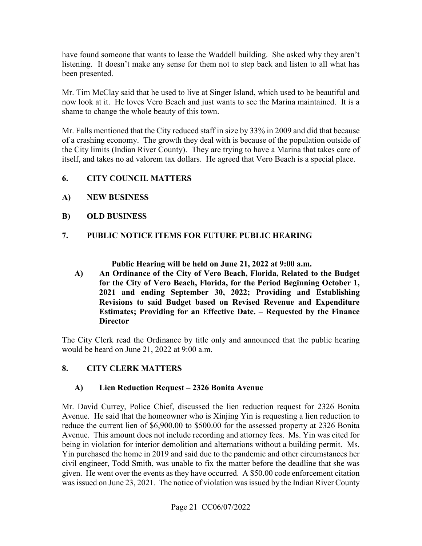have found someone that wants to lease the Waddell building. She asked why they aren't listening. It doesn't make any sense for them not to step back and listen to all what has been presented.

 Mr. Tim McClay said that he used to live at Singer Island, which used to be beautiful and now look at it. He loves Vero Beach and just wants to see the Marina maintained. It is a shame to change the whole beauty of this town.

 of a crashing economy. The growth they deal with is because of the population outside of the City limits (Indian River County). They are trying to have a Marina that takes care of Mr. Falls mentioned that the City reduced staff in size by 33% in 2009 and did that because itself, and takes no ad valorem tax dollars. He agreed that Vero Beach is a special place.

- **6. CITY COUNCIL MATTERS**
- **A) NEW BUSINESS**
- **B) OLD BUSINESS**

# PUBLIC NOTICE ITEMS FOR FUTURE PUBLIC HEARING **7. PUBLIC NOTICE ITEMS FOR FUTURE PUBLIC HEARING<br>Public Hearing will be held on June 21, 2022 at 9:00 a.m.**

**A) An Ordinance of the City of Vero Beach, Florida, Related to the Budget for the City of Vero Beach, Florida, for the Period Beginning October 1, 2021 and ending September 30, 2022; Providing and Establishing Revisions to said Budget based on Revised Revenue and Expenditure Estimates; Providing for an Effective Date. – Requested by the Finance Director** 

The City Clerk read the Ordinance by title only and announced that the public hearing would be heard on June 21, 2022 at 9:00 a.m.

#### **8. CITY CLERK MATTERS**

#### **A) Lien Reduction Request – 2326 Bonita Avenue**

 Avenue. He said that the homeowner who is Xinjing Yin is requesting a lien reduction to Avenue. This amount does not include recording and attorney fees. Ms. Yin was cited for was issued on June 23, 2021. The notice of violation was issued by the Indian River County Mr. David Currey, Police Chief, discussed the lien reduction request for 2326 Bonita reduce the current lien of [\\$6,900.00](https://6,900.00) to \$500.00 for the assessed property at 2326 Bonita being in violation for interior demolition and alternations without a building permit. Ms. Yin purchased the home in 2019 and said due to the pandemic and other circumstances her civil engineer, Todd Smith, was unable to fix the matter before the deadline that she was given. He went over the events as they have occurred. A \$50.00 code enforcement citation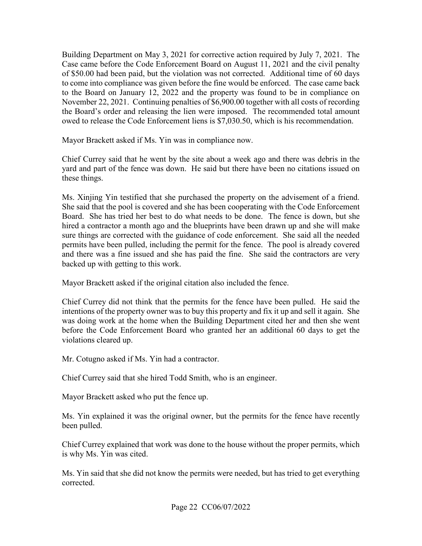Building Department on May 3, 2021 for corrective action required by July 7, 2021. The to come into compliance was given before the fine would be enforced. The case came back to the Board on January 12, 2022 and the property was found to be in compliance on Case came before the Code Enforcement Board on August 11, 2021 and the civil penalty of \$50.00 had been paid, but the violation was not corrected. Additional time of 60 days November 22, 2021. Continuing penalties of \$[6,900.00](https://6,900.00) together with all costs of recording the Board's order and releasing the lien were imposed. The recommended total amount owed to release the Code Enforcement liens is [\\$7,030.50](https://7,030.50), which is his recommendation.

Mayor Brackett asked if Ms. Yin was in compliance now.

Chief Currey said that he went by the site about a week ago and there was debris in the yard and part of the fence was down. He said but there have been no citations issued on these things.

 Ms. Xinjing Yin testified that she purchased the property on the advisement of a friend. Board. She has tried her best to do what needs to be done. The fence is down, but she hired a contractor a month ago and the blueprints have been drawn up and she will make sure things are corrected with the guidance of code enforcement. She said all the needed and there was a fine issued and she has paid the fine. She said the contractors are very She said that the pool is covered and she has been cooperating with the Code Enforcement permits have been pulled, including the permit for the fence. The pool is already covered backed up with getting to this work.

Mayor Brackett asked if the original citation also included the fence.

 was doing work at the home when the Building Department cited her and then she went before the Code Enforcement Board who granted her an additional 60 days to get the Chief Currey did not think that the permits for the fence have been pulled. He said the intentions of the property owner was to buy this property and fix it up and sell it again. She violations cleared up.

Mr. Cotugno asked if Ms. Yin had a contractor.

Chief Currey said that she hired Todd Smith, who is an engineer.

Mayor Brackett asked who put the fence up.

Ms. Yin explained it was the original owner, but the permits for the fence have recently been pulled.

is why Ms. Yin was cited. Chief Currey explained that work was done to the house without the proper permits, which

corrected. Ms. Yin said that she did not know the permits were needed, but has tried to get everything corrected. Page 22 CC06/07/2022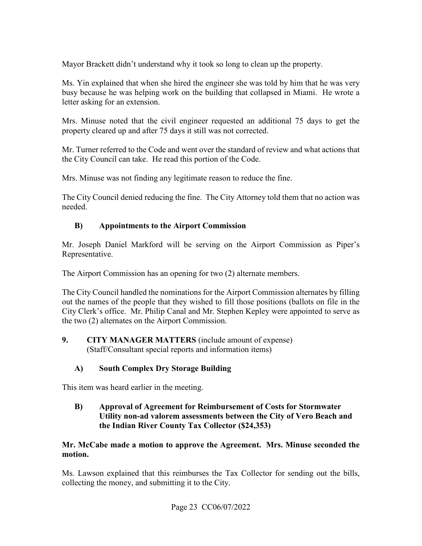Mayor Brackett didn't understand why it took so long to clean up the property.

 busy because he was helping work on the building that collapsed in Miami. He wrote a letter asking for an extension. Ms. Yin explained that when she hired the engineer she was told by him that he was very

Mrs. Minuse noted that the civil engineer requested an additional 75 days to get the property cleared up and after 75 days it still was not corrected.

Mr. Turner referred to the Code and went over the standard of review and what actions that the City Council can take. He read this portion of the Code.

Mrs. Minuse was not finding any legitimate reason to reduce the fine.

The City Council denied reducing the fine. The City Attorney told them that no action was needed.

# **B) Appointments to the Airport Commission**

Mr. Joseph Daniel Markford will be serving on the Airport Commission as Piper's Representative.

The Airport Commission has an opening for two (2) alternate members.

 City Clerk's office. Mr. Philip Canal and Mr. Stephen Kepley were appointed to serve as The City Council handled the nominations for the Airport Commission alternates by filling out the names of the people that they wished to fill those positions (ballots on file in the the two (2) alternates on the Airport Commission.

 $9.$  (Staff/Consultant special reports and information items) **9. CITY MANAGER MATTERS** (include amount of expense)

# **A) South Complex Dry Storage Building**

This item was heard earlier in the meeting.

### **B) Approval of Agreement for Reimbursement of Costs for Stormwater Utility non-ad valorem assessments between the City of Vero Beach and the Indian River County Tax Collector (\$24,353)**

# **Mr. McCabe made a motion to approve the Agreement. Mrs. Minuse seconded the motion.**

Ms. Lawson explained that this reimburses the Tax Collector for sending out the bills, collecting the money, and submitting it to the City.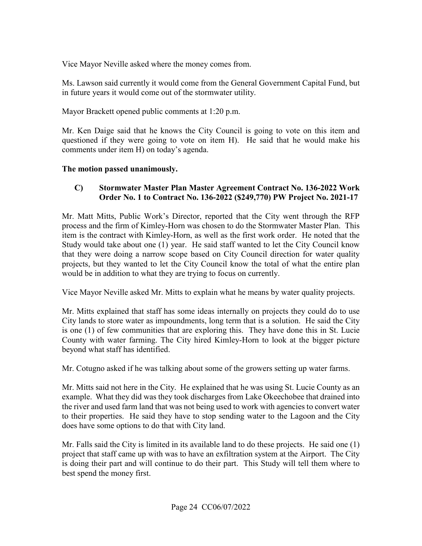Vice Mayor Neville asked where the money comes from.

Ms. Lawson said currently it would come from the General Government Capital Fund, but in future years it would come out of the stormwater utility.

Mayor Brackett opened public comments at 1:20 p.m.

 comments under item H) on today's agenda. Mr. Ken Daige said that he knows the City Council is going to vote on this item and questioned if they were going to vote on item H). He said that he would make his

#### **The motion passed unanimously.**

### **C) Stormwater Master Plan Master Agreement Contract No. 136-2022 Work Order No. 1 to Contract No. 136-2022 (\$249,770) PW Project No. 2021-17**

 process and the firm of Kimley-Horn was chosen to do the Stormwater Master Plan. This item is the contract with Kimley-Horn, as well as the first work order. He noted that the Study would take about one (1) year. He said staff wanted to let the City Council know projects, but they wanted to let the City Council know the total of what the entire plan Mr. Matt Mitts, Public Work's Director, reported that the City went through the RFP that they were doing a narrow scope based on City Council direction for water quality would be in addition to what they are trying to focus on currently.

Vice Mayor Neville asked Mr. Mitts to explain what he means by water quality projects.

Mr. Mitts explained that staff has some ideas internally on projects they could do to use City lands to store water as impoundments, long term that is a solution. He said the City is one (1) of few communities that are exploring this. They have done this in St. Lucie County with water farming. The City hired Kimley-Horn to look at the bigger picture beyond what staff has identified.

Mr. Cotugno asked if he was talking about some of the growers setting up water farms.

 example. What they did was they took discharges from Lake Okeechobee that drained into Mr. Mitts said not here in the City. He explained that he was using St. Lucie County as an the river and used farm land that was not being used to work with agencies to convert water to their properties. He said they have to stop sending water to the Lagoon and the City does have some options to do that with City land.

 Mr. Falls said the City is limited in its available land to do these projects. He said one (1) project that staff came up with was to have an exfiltration system at the Airport. The City is doing their part and will continue to do their part. This Study will tell them where to best spend the money first.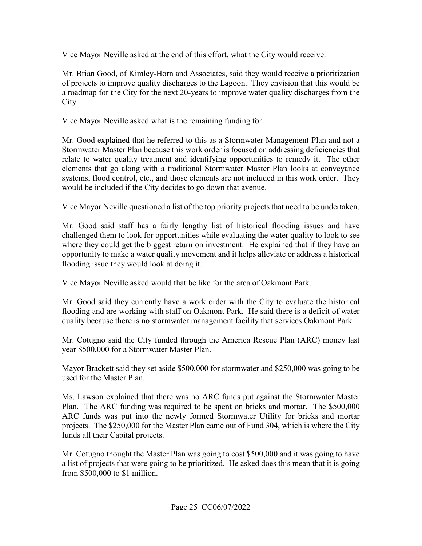Vice Mayor Neville asked at the end of this effort, what the City would receive.

Mr. Brian Good, of Kimley-Horn and Associates, said they would receive a prioritization of projects to improve quality discharges to the Lagoon. They envision that this would be a roadmap for the City for the next 20-years to improve water quality discharges from the City.

Vice Mayor Neville asked what is the remaining funding for.

Mr. Good explained that he referred to this as a Stormwater Management Plan and not a Stormwater Master Plan because this work order is focused on addressing deficiencies that relate to water quality treatment and identifying opportunities to remedy it. The other elements that go along with a traditional Stormwater Master Plan looks at conveyance systems, flood control, etc., and those elements are not included in this work order. They would be included if the City decides to go down that avenue.

Vice Mayor Neville questioned a list of the top priority projects that need to be undertaken.

 where they could get the biggest return on investment. He explained that if they have an opportunity to make a water quality movement and it helps alleviate or address a historical Mr. Good said staff has a fairly lengthy list of historical flooding issues and have challenged them to look for opportunities while evaluating the water quality to look to see flooding issue they would look at doing it.

Vice Mayor Neville asked would that be like for the area of Oakmont Park.

Mr. Good said they currently have a work order with the City to evaluate the historical flooding and are working with staff on Oakmont Park. He said there is a deficit of water

 quality because there is no stormwater management facility that services Oakmont Park. Mr. Cotugno said the City funded through the America Rescue Plan (ARC) money last year \$500,000 for a Stormwater Master Plan.

 Mayor Brackett said they set aside \$500,000 for stormwater and \$250,000 was going to be used for the Master Plan.

 projects. The \$250,000 for the Master Plan came out of Fund 304, which is where the City funds all their Capital projects. Ms. Lawson explained that there was no ARC funds put against the Stormwater Master Plan. The ARC funding was required to be spent on bricks and mortar. The \$500,000 ARC funds was put into the newly formed Stormwater Utility for bricks and mortar

Mr. Cotugno thought the Master Plan was going to cost  $$500,000$  and it was going to have a list of projects that were going to be prioritized. He asked does this mean that it is going from \$500,000 to \$1 million.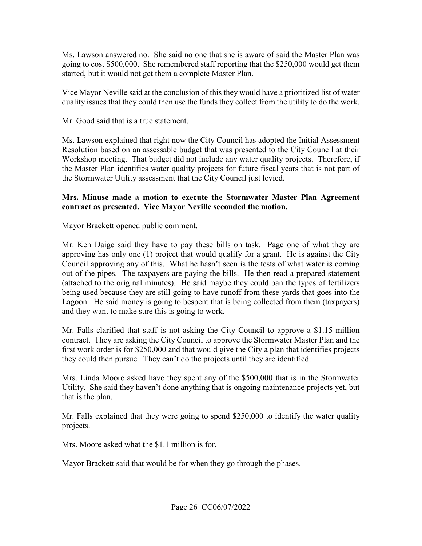started, but it would not get them a complete Master Plan. Ms. Lawson answered no. She said no one that she is aware of said the Master Plan was going to cost \$500,000. She remembered staff reporting that the \$250,000 would get them

 quality issues that they could then use the funds they collect from the utility to do the work. Vice Mayor Neville said at the conclusion of this they would have a prioritized list of water

Mr. Good said that is a true statement.

 Workshop meeting. That budget did not include any water quality projects. Therefore, if the Stormwater Utility assessment that the City Council just levied. Ms. Lawson explained that right now the City Council has adopted the Initial Assessment Resolution based on an assessable budget that was presented to the City Council at their the Master Plan identifies water quality projects for future fiscal years that is not part of

#### **Mrs. Minuse made a motion to execute the Stormwater Master Plan Agreement contract as presented. Vice Mayor Neville seconded the motion.**

Mayor Brackett opened public comment.

 approving has only one (1) project that would qualify for a grant. He is against the City Council approving any of this. What he hasn't seen is the tests of what water is coming Mr. Ken Daige said they have to pay these bills on task. Page one of what they are out of the pipes. The taxpayers are paying the bills. He then read a prepared statement (attached to the original minutes). He said maybe they could ban the types of fertilizers being used because they are still going to have runoff from these yards that goes into the Lagoon. He said money is going to bespent that is being collected from them (taxpayers) and they want to make sure this is going to work.

Mr. Falls clarified that staff is not asking the City Council to approve a \$1.15 million contract. They are asking the City Council to approve the Stormwater Master Plan and the first work order is for \$250,000 and that would give the City a plan that identifies projects they could then pursue. They can't do the projects until they are identified.

 Utility. She said they haven't done anything that is ongoing maintenance projects yet, but Mrs. Linda Moore asked have they spent any of the \$500,000 that is in the Stormwater that is the plan.

 Mr. Falls explained that they were going to spend \$250,000 to identify the water quality projects.

Mrs. Moore asked what the \$1.1 million is for.

Mayor Brackett said that would be for when they go through the phases.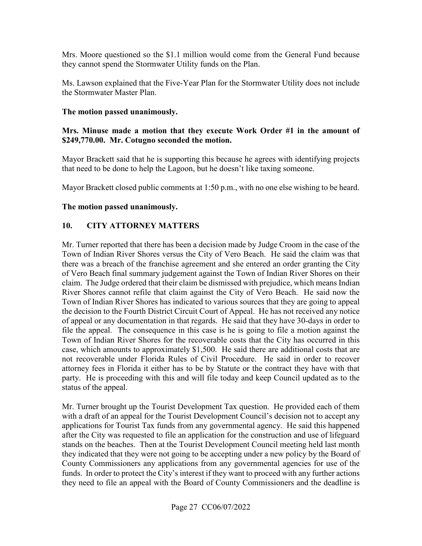Mrs. Moore questioned so the \$1.1 million would come from the General Fund because they cannot spend the Stormwater Utility funds on the Plan.

 Ms. Lawson explained that the Five-Year Plan for the Stormwater Utility does not include the Stormwater Master Plan.

#### **The motion passed unanimously.**

#### **Mrs. Minuse made a motion that they execute Work Order #1 in the amount of [\\$249,770.00](https://249,770.00). Mr. Cotugno seconded the motion.**

Mayor Brackett said that he is supporting this because he agrees with identifying projects that need to be done to help the Lagoon, but he doesn't like taxing someone.

Mayor Brackett closed public comments at 1:50 p.m., with no one else wishing to be heard.

#### **The motion passed unanimously.**

#### **10. CITY ATTORNEY MATTERS**

 Town of Indian River Shores versus the City of Vero Beach. He said the claim was that claim. The Judge ordered that their claim be dismissed with prejudice, which means Indian Town of Indian River Shores has indicated to various sources that they are going to appeal Mr. Turner reported that there has been a decision made by Judge Croom in the case of the there was a breach of the franchise agreement and she entered an order granting the City of Vero Beach final summary judgement against the Town of Indian River Shores on their River Shores cannot refile that claim against the City of Vero Beach. He said now the the decision to the Fourth District Circuit Court of Appeal. He has not received any notice of appeal or any documentation in that regards. He said that they have 30-days in order to file the appeal. The consequence in this case is he is going to file a motion against the Town of Indian River Shores for the recoverable costs that the City has occurred in this case, which amounts to approximately \$1,500. He said there are additional costs that are not recoverable under Florida Rules of Civil Procedure. He said in order to recover attorney fees in Florida it either has to be by Statute or the contract they have with that party. He is proceeding with this and will file today and keep Council updated as to the status of the appeal.

 after the City was requested to file an application for the construction and use of lifeguard they indicated that they were not going to be accepting under a new policy by the Board of County Commissioners any applications from any governmental agencies for use of the funds. In order to protect the City's interest if they want to proceed with any further actions Mr. Turner brought up the Tourist Development Tax question. He provided each of them with a draft of an appeal for the Tourist Development Council's decision not to accept any applications for Tourist Tax funds from any governmental agency. He said this happened stands on the beaches. Then at the Tourist Development Council meeting held last month they need to file an appeal with the Board of County Commissioners and the deadline is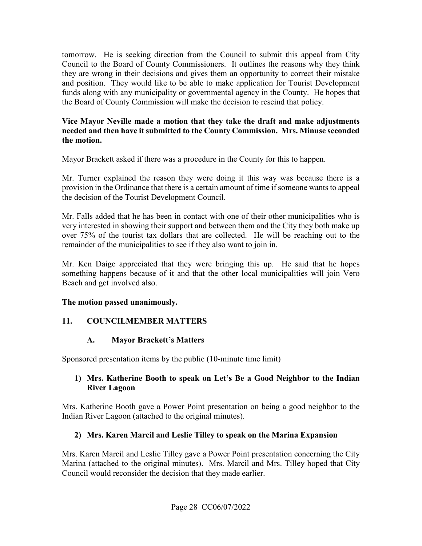the Board of County Commission will make the decision to rescind that policy. tomorrow. He is seeking direction from the Council to submit this appeal from City Council to the Board of County Commissioners. It outlines the reasons why they think they are wrong in their decisions and gives them an opportunity to correct their mistake and position. They would like to be able to make application for Tourist Development funds along with any municipality or governmental agency in the County. He hopes that

#### **needed and then have it submitted to the County Commission. Mrs. Minuse seconded Vice Mayor Neville made a motion that they take the draft and make adjustments the motion.**

Mayor Brackett asked if there was a procedure in the County for this to happen.

 Mr. Turner explained the reason they were doing it this way was because there is a provision in the Ordinance that there is a certain amount of time if someone wants to appeal the decision of the Tourist Development Council.

 very interested in showing their support and between them and the City they both make up remainder of the municipalities to see if they also want to join in. Mr. Falls added that he has been in contact with one of their other municipalities who is over 75% of the tourist tax dollars that are collected. He will be reaching out to the

Mr. Ken Daige appreciated that they were bringing this up. He said that he hopes something happens because of it and that the other local municipalities will join Vero Beach and get involved also.

# **The motion passed unanimously.**

# **11. COUNCILMEMBER MATTERS**

# **A. Mayor Brackett's Matters**

Sponsored presentation items by the public (10-minute time limit)

# **1) Mrs. Katherine Booth to speak on Let's Be a Good Neighbor to the Indian River Lagoon**

Mrs. Katherine Booth gave a Power Point presentation on being a good neighbor to the Indian River Lagoon (attached to the original minutes).

# **2) Mrs. Karen Marcil and Leslie Tilley to speak on the Marina Expansion**

 Marina (attached to the original minutes). Mrs. Marcil and Mrs. Tilley hoped that City Mrs. Karen Marcil and Leslie Tilley gave a Power Point presentation concerning the City Council would reconsider the decision that they made earlier.